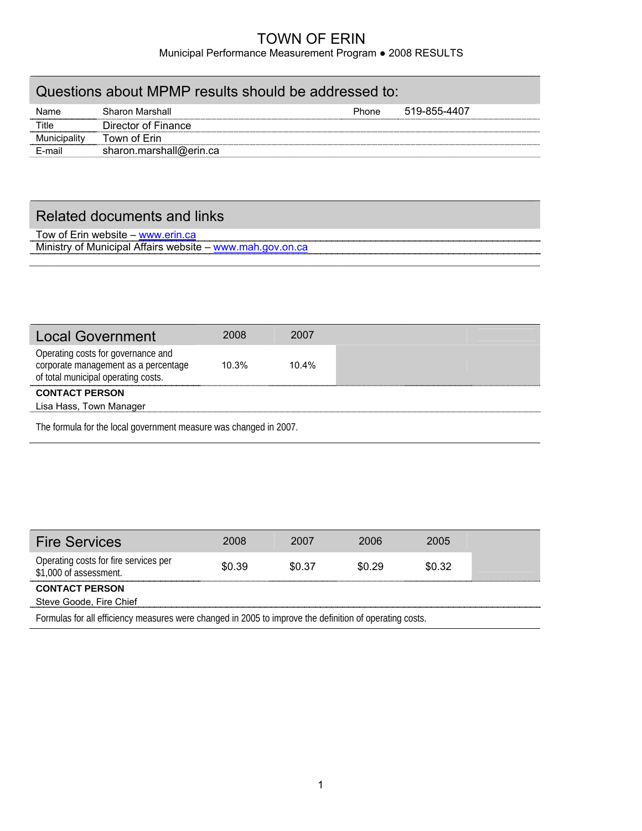#### TOWN OF ERIN Municipal Performance Measurement Program ● 2008 RESULTS

| Questions about MPMP results should be addressed to: |                         |              |              |  |  |  |
|------------------------------------------------------|-------------------------|--------------|--------------|--|--|--|
| Name                                                 | <b>Sharon Marshall</b>  | <b>Phone</b> | 519-855-4407 |  |  |  |
| Title                                                | Director of Finance     |              |              |  |  |  |
| Municipality                                         | Town of Erin            |              |              |  |  |  |
| E-mail                                               | sharon.marshall@erin.ca |              |              |  |  |  |
|                                                      |                         |              |              |  |  |  |

# Related documents and links

Tow of Erin website – [www.erin.ca](http://www.erin.ca/) Ministry of Municipal Affairs website – [www.mah.gov.on.ca](http://www.mah.gov.on.ca/)

| <b>Local Government</b>                                                                                           | 2008     | 2007  |  |  |  |
|-------------------------------------------------------------------------------------------------------------------|----------|-------|--|--|--|
| Operating costs for governance and<br>corporate management as a percentage<br>of total municipal operating costs. | $10.3\%$ | 10.4% |  |  |  |
| <b>CONTACT PERSON</b><br>Lisa Hass, Town Manager                                                                  |          |       |  |  |  |
|                                                                                                                   |          |       |  |  |  |
| The formula for the local government measure was changed in 2007.                                                 |          |       |  |  |  |

| <b>Fire Services</b>                                                                                    | 2008   | 2007   | 2006   | 2005   |  |  |
|---------------------------------------------------------------------------------------------------------|--------|--------|--------|--------|--|--|
| Operating costs for fire services per<br>\$1,000 of assessment.                                         | \$0.39 | \$0.37 | \$0.29 | \$0.32 |  |  |
| <b>CONTACT PERSON</b>                                                                                   |        |        |        |        |  |  |
| Steve Goode, Fire Chief                                                                                 |        |        |        |        |  |  |
| Formulas for all efficiency measures were changed in 2005 to improve the definition of operating costs. |        |        |        |        |  |  |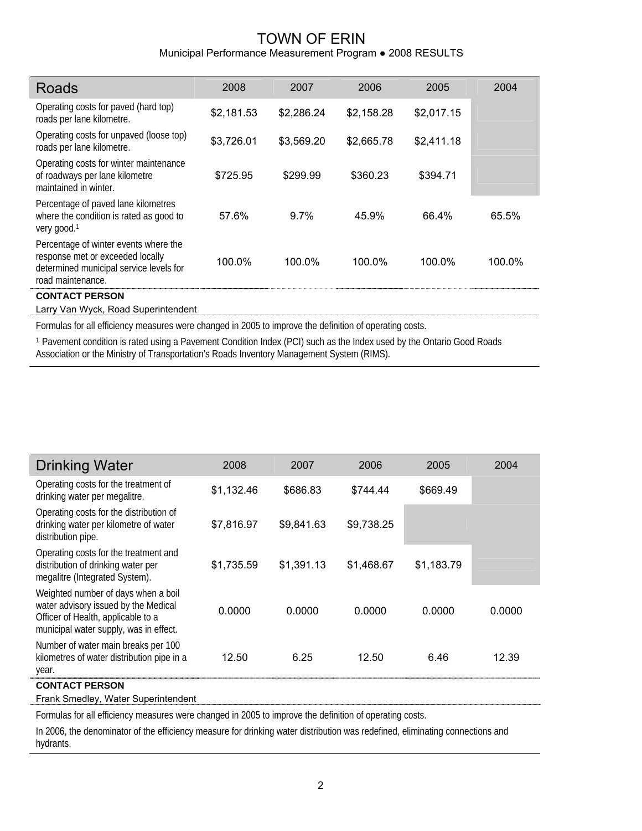## TOWN OF ERIN Municipal Performance Measurement Program ● 2008 RESULTS

| <b>Roads</b>                                                                                                                              | 2008       | 2007       | 2006       | 2005       | 2004   |
|-------------------------------------------------------------------------------------------------------------------------------------------|------------|------------|------------|------------|--------|
| Operating costs for paved (hard top)<br>roads per lane kilometre.                                                                         | \$2,181.53 | \$2,286.24 | \$2,158.28 | \$2,017.15 |        |
| Operating costs for unpaved (loose top)<br>roads per lane kilometre.                                                                      | \$3,726.01 | \$3,569.20 | \$2,665.78 | \$2,411.18 |        |
| Operating costs for winter maintenance<br>of roadways per lane kilometre<br>maintained in winter.                                         | \$725.95   | \$299.99   | \$360.23   | \$394.71   |        |
| Percentage of paved lane kilometres<br>where the condition is rated as good to<br>very good. <sup>1</sup>                                 | 57.6%      | 9.7%       | 45.9%      | 66.4%      | 65.5%  |
| Percentage of winter events where the<br>response met or exceeded locally<br>determined municipal service levels for<br>road maintenance. | 100.0%     | 100.0%     | 100.0%     | 100.0%     | 100.0% |
| <b>CONTACT PERSON</b>                                                                                                                     |            |            |            |            |        |

Larry Van Wyck, Road Superintendent

Formulas for all efficiency measures were changed in 2005 to improve the definition of operating costs.

1 Pavement condition is rated using a Pavement Condition Index (PCI) such as the Index used by the Ontario Good Roads Association or the Ministry of Transportation's Roads Inventory Management System (RIMS).

| <b>Drinking Water</b>                                                                                                                                       | 2008       | 2007       | 2006       | 2005       | 2004   |
|-------------------------------------------------------------------------------------------------------------------------------------------------------------|------------|------------|------------|------------|--------|
| Operating costs for the treatment of<br>drinking water per megalitre.                                                                                       | \$1,132.46 | \$686.83   | \$744.44   | \$669.49   |        |
| Operating costs for the distribution of<br>drinking water per kilometre of water<br>distribution pipe.                                                      | \$7,816.97 | \$9,841.63 | \$9,738.25 |            |        |
| Operating costs for the treatment and<br>distribution of drinking water per<br>megalitre (Integrated System).                                               | \$1,735.59 | \$1,391.13 | \$1,468.67 | \$1,183.79 |        |
| Weighted number of days when a boil<br>water advisory issued by the Medical<br>Officer of Health, applicable to a<br>municipal water supply, was in effect. | 0.0000     | 0.0000     | 0.0000     | 0.0000     | 0.0000 |
| Number of water main breaks per 100<br>kilometres of water distribution pipe in a<br>year.                                                                  | 12.50      | 6.25       | 12.50      | 6.46       | 12.39  |
| <b>CONTACT PERSON</b>                                                                                                                                       |            |            |            |            |        |

Frank Smedley, Water Superintendent

Formulas for all efficiency measures were changed in 2005 to improve the definition of operating costs.

In 2006, the denominator of the efficiency measure for drinking water distribution was redefined, eliminating connections and hydrants.